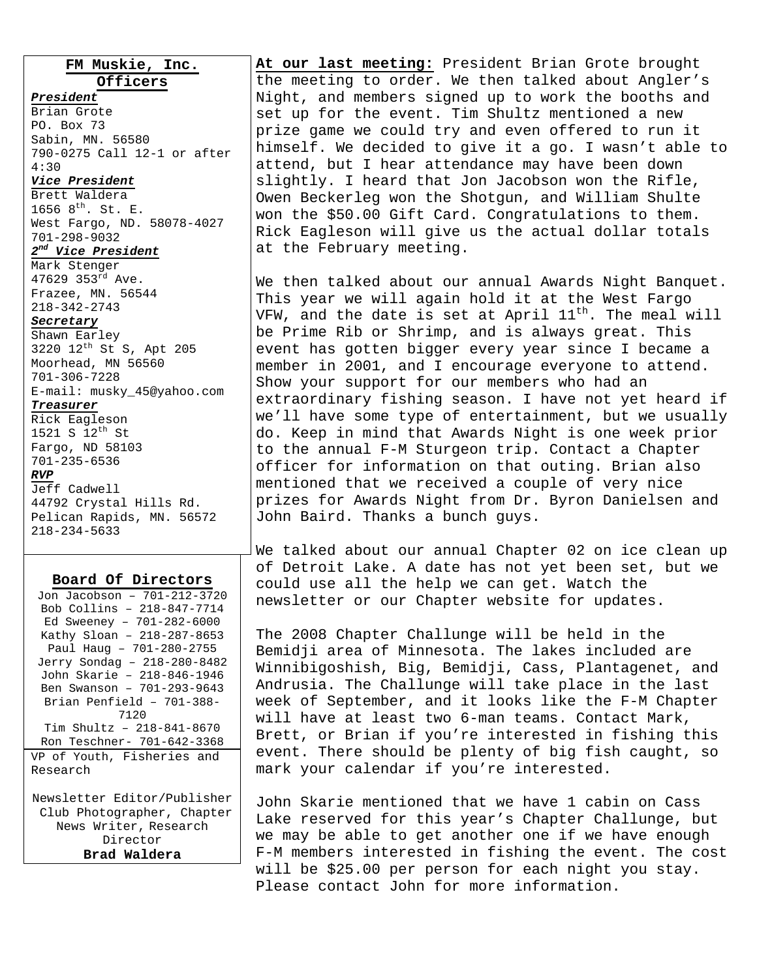**FM Muskie, Inc.** 

**Officers** *President* Brian Grote PO. Box 73 Sabin, MN. 56580 790-0275 Call 12-1 or after 4:30 *Vice President* Brett Waldera 1656  $8^{th}$ . St. E. West Fargo, ND. 58078-4027 701-298-9032

# *2nd Vice President*

Mark Stenger 47629 353rd Ave. Frazee, MN. 56544 218-342-2743

#### *Secretary*

Shawn Earley 3220 12th St S, Apt 205 Moorhead, MN 56560 701-306-7228 E-mail: musky\_45@yahoo.com

# *Treasurer*

Rick Eagleson 1521 S 12th St Fargo, ND 58103 701-235-6536

#### *RVP*

Jeff Cadwell 44792 Crystal Hills Rd. Pelican Rapids, MN. 56572 218-234-5633

#### **Board Of Directors**

Director **Brad Waldera**  **At our last meeting:** President Brian Grote brought the meeting to order. We then talked about Angler's Night, and members signed up to work the booths and set up for the event. Tim Shultz mentioned a new prize game we could try and even offered to run it himself. We decided to give it a go. I wasn't able to attend, but I hear attendance may have been down slightly. I heard that Jon Jacobson won the Rifle, Owen Beckerleg won the Shotgun, and William Shulte won the \$50.00 Gift Card. Congratulations to them. Rick Eagleson will give us the actual dollar totals at the February meeting.

We then talked about our annual Awards Night Banquet. This year we will again hold it at the West Fargo VFW, and the date is set at April  $11^{th}$ . The meal will be Prime Rib or Shrimp, and is always great. This event has gotten bigger every year since I became a member in 2001, and I encourage everyone to attend. Show your support for our members who had an extraordinary fishing season. I have not yet heard if we'll have some type of entertainment, but we usually do. Keep in mind that Awards Night is one week prior to the annual F-M Sturgeon trip. Contact a Chapter officer for information on that outing. Brian also mentioned that we received a couple of very nice prizes for Awards Night from Dr. Byron Danielsen and John Baird. Thanks a bunch guys.

We talked about our annual Chapter 02 on ice clean up of Detroit Lake. A date has not yet been set, but we could use all the help we can get. Watch the newsletter or our Chapter website for updates.

The 2008 Chapter Challunge will be held in the Bemidji area of Minnesota. The lakes included are Winnibigoshish, Big, Bemidji, Cass, Plantagenet, and Andrusia. The Challunge will take place in the last week of September, and it looks like the F-M Chapter will have at least two 6-man teams. Contact Mark, Brett, or Brian if you're interested in fishing this event. There should be plenty of big fish caught, so mark your calendar if you're interested.

John Skarie mentioned that we have 1 cabin on Cass Lake reserved for this year's Chapter Challunge, but we may be able to get another one if we have enough F-M members interested in fishing the event. The cost will be \$25.00 per person for each night you stay. Please contact John for more information.